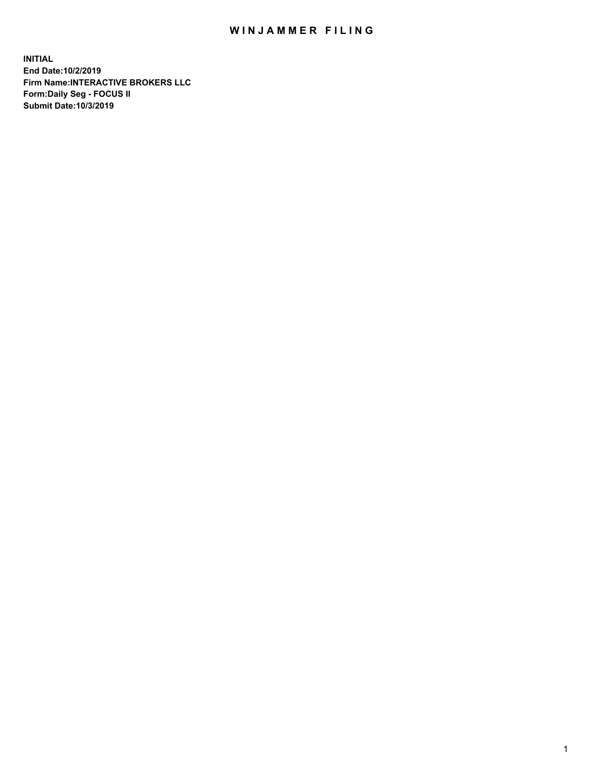## WIN JAMMER FILING

**INITIAL End Date:10/2/2019 Firm Name:INTERACTIVE BROKERS LLC Form:Daily Seg - FOCUS II Submit Date:10/3/2019**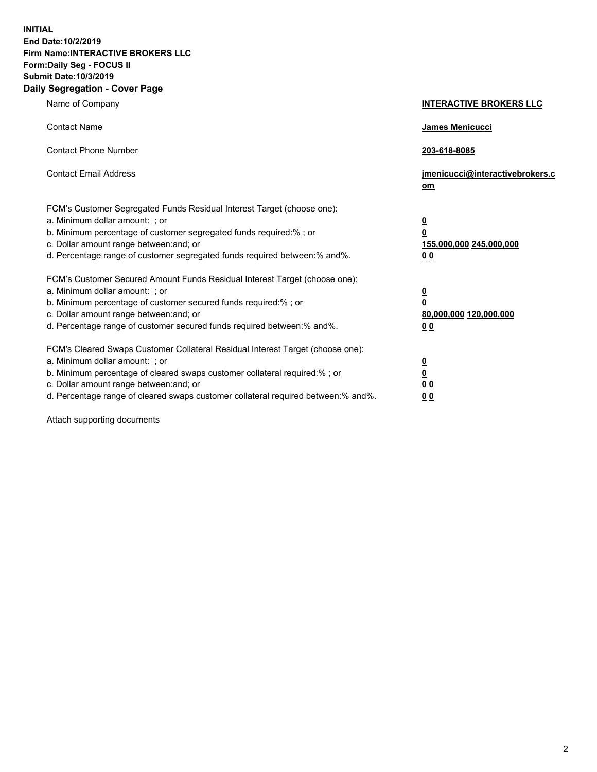**INITIAL End Date:10/2/2019 Firm Name:INTERACTIVE BROKERS LLC Form:Daily Seg - FOCUS II Submit Date:10/3/2019 Daily Segregation - Cover Page**

| Name of Company                                                                                                                                                                                                                                                                                                                | <b>INTERACTIVE BROKERS LLC</b>                                                                  |
|--------------------------------------------------------------------------------------------------------------------------------------------------------------------------------------------------------------------------------------------------------------------------------------------------------------------------------|-------------------------------------------------------------------------------------------------|
| <b>Contact Name</b>                                                                                                                                                                                                                                                                                                            | James Menicucci                                                                                 |
| <b>Contact Phone Number</b>                                                                                                                                                                                                                                                                                                    | 203-618-8085                                                                                    |
| <b>Contact Email Address</b>                                                                                                                                                                                                                                                                                                   | jmenicucci@interactivebrokers.c<br>om                                                           |
| FCM's Customer Segregated Funds Residual Interest Target (choose one):<br>a. Minimum dollar amount: ; or<br>b. Minimum percentage of customer segregated funds required:% ; or<br>c. Dollar amount range between: and; or<br>d. Percentage range of customer segregated funds required between:% and%.                         | $\overline{\mathbf{0}}$<br>$\overline{\mathbf{0}}$<br>155,000,000 245,000,000<br>0 <sub>0</sub> |
| FCM's Customer Secured Amount Funds Residual Interest Target (choose one):<br>a. Minimum dollar amount: ; or<br>b. Minimum percentage of customer secured funds required:% ; or<br>c. Dollar amount range between: and; or<br>d. Percentage range of customer secured funds required between:% and%.                           | $\overline{\mathbf{0}}$<br>0<br>80,000,000 120,000,000<br>0 <sub>0</sub>                        |
| FCM's Cleared Swaps Customer Collateral Residual Interest Target (choose one):<br>a. Minimum dollar amount: ; or<br>b. Minimum percentage of cleared swaps customer collateral required:% ; or<br>c. Dollar amount range between: and; or<br>d. Percentage range of cleared swaps customer collateral required between:% and%. | $\overline{\mathbf{0}}$<br><u>0</u><br>$\underline{0}$ $\underline{0}$<br>00                    |

Attach supporting documents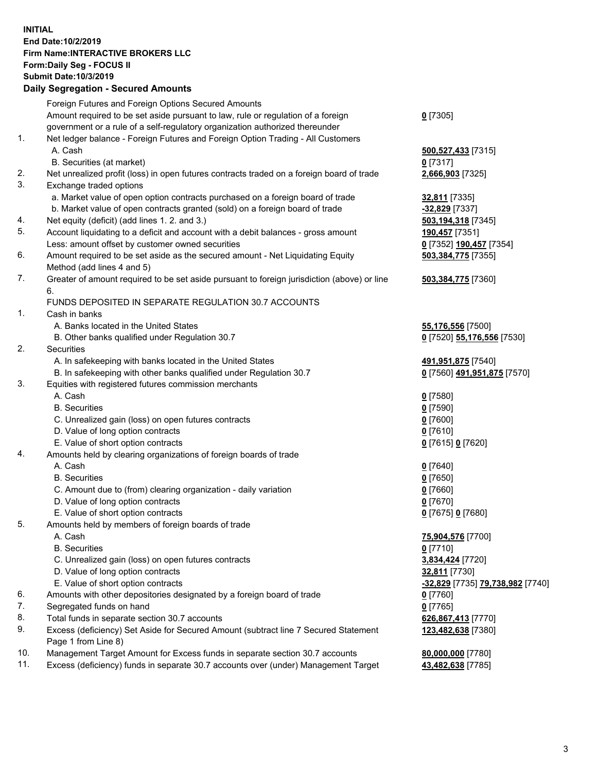## **INITIAL End Date:10/2/2019 Firm Name:INTERACTIVE BROKERS LLC Form:Daily Seg - FOCUS II Submit Date:10/3/2019 Daily Segregation - Secured Amounts**

|     | Daily Segregation - Secured Aniounts                                                        |                                                      |
|-----|---------------------------------------------------------------------------------------------|------------------------------------------------------|
|     | Foreign Futures and Foreign Options Secured Amounts                                         |                                                      |
|     | Amount required to be set aside pursuant to law, rule or regulation of a foreign            | $0$ [7305]                                           |
|     | government or a rule of a self-regulatory organization authorized thereunder                |                                                      |
| 1.  | Net ledger balance - Foreign Futures and Foreign Option Trading - All Customers             |                                                      |
|     | A. Cash                                                                                     | 500,527,433 [7315]                                   |
|     | B. Securities (at market)                                                                   | $0$ [7317]                                           |
| 2.  | Net unrealized profit (loss) in open futures contracts traded on a foreign board of trade   | 2,666,903 [7325]                                     |
| 3.  | Exchange traded options                                                                     |                                                      |
|     | a. Market value of open option contracts purchased on a foreign board of trade              | 32,811 [7335]                                        |
|     | b. Market value of open contracts granted (sold) on a foreign board of trade                | -32,829 [7337]                                       |
| 4.  | Net equity (deficit) (add lines 1.2. and 3.)                                                | 503,194,318 [7345]                                   |
| 5.  | Account liquidating to a deficit and account with a debit balances - gross amount           | 190,457 [7351]                                       |
|     | Less: amount offset by customer owned securities                                            | 0 [7352] 190,457 [7354]                              |
| 6.  | Amount required to be set aside as the secured amount - Net Liquidating Equity              | 503,384,775 [7355]                                   |
|     | Method (add lines 4 and 5)                                                                  |                                                      |
| 7.  | Greater of amount required to be set aside pursuant to foreign jurisdiction (above) or line | 503,384,775 [7360]                                   |
|     | 6.                                                                                          |                                                      |
|     | FUNDS DEPOSITED IN SEPARATE REGULATION 30.7 ACCOUNTS                                        |                                                      |
| 1.  | Cash in banks                                                                               |                                                      |
|     | A. Banks located in the United States                                                       | 55,176,556 [7500]                                    |
|     | B. Other banks qualified under Regulation 30.7                                              | 0 [7520] 55,176,556 [7530]                           |
| 2.  | Securities                                                                                  |                                                      |
|     | A. In safekeeping with banks located in the United States                                   | 491,951,875 [7540]                                   |
|     | B. In safekeeping with other banks qualified under Regulation 30.7                          | 0 [7560] 491,951,875 [7570]                          |
| 3.  | Equities with registered futures commission merchants                                       |                                                      |
|     | A. Cash                                                                                     | $0$ [7580]                                           |
|     | <b>B.</b> Securities                                                                        | $0$ [7590]                                           |
|     | C. Unrealized gain (loss) on open futures contracts                                         | $0$ [7600]                                           |
|     | D. Value of long option contracts                                                           | $0$ [7610]                                           |
| 4.  | E. Value of short option contracts                                                          | 0 [7615] 0 [7620]                                    |
|     | Amounts held by clearing organizations of foreign boards of trade<br>A. Cash                |                                                      |
|     | <b>B.</b> Securities                                                                        | $0$ [7640]<br>$0$ [7650]                             |
|     | C. Amount due to (from) clearing organization - daily variation                             | $0$ [7660]                                           |
|     | D. Value of long option contracts                                                           | $0$ [7670]                                           |
|     | E. Value of short option contracts                                                          | 0 [7675] 0 [7680]                                    |
| 5.  | Amounts held by members of foreign boards of trade                                          |                                                      |
|     | A. Cash                                                                                     | 75,904,576 [7700]                                    |
|     | <b>B.</b> Securities                                                                        | $0$ [7710]                                           |
|     | C. Unrealized gain (loss) on open futures contracts                                         | 3,834,424 [7720]                                     |
|     | D. Value of long option contracts                                                           | 32,811 [7730]                                        |
|     | E. Value of short option contracts                                                          | <mark>-32,829</mark> [7735] <b>79,738,982</b> [7740] |
| 6.  | Amounts with other depositories designated by a foreign board of trade                      | <u>0</u> [7760]                                      |
| 7.  | Segregated funds on hand                                                                    | $0$ [7765]                                           |
| 8.  | Total funds in separate section 30.7 accounts                                               | 626,867,413 [7770]                                   |
| 9.  | Excess (deficiency) Set Aside for Secured Amount (subtract line 7 Secured Statement         | 123,482,638 [7380]                                   |
|     | Page 1 from Line 8)                                                                         |                                                      |
| 10. | Management Target Amount for Excess funds in separate section 30.7 accounts                 | 80,000,000 [7780]                                    |
| 11. | Excess (deficiency) funds in separate 30.7 accounts over (under) Management Target          | 43,482,638 [7785]                                    |
|     |                                                                                             |                                                      |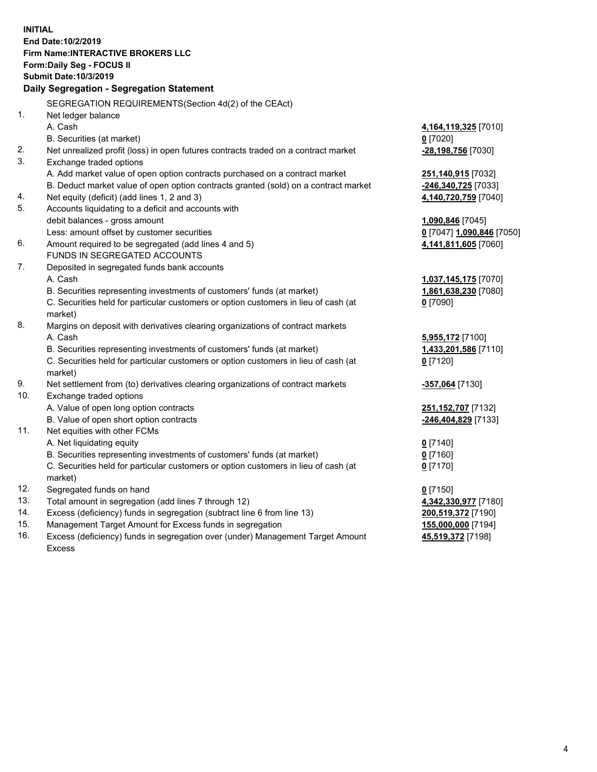**INITIAL End Date:10/2/2019 Firm Name:INTERACTIVE BROKERS LLC Form:Daily Seg - FOCUS II Submit Date:10/3/2019 Daily Segregation - Segregation Statement** SEGREGATION REQUIREMENTS(Section 4d(2) of the CEAct) 1. Net ledger balance A. Cash **4,164,119,325** [7010] B. Securities (at market) **0** [7020] 2. Net unrealized profit (loss) in open futures contracts traded on a contract market **-28,198,756** [7030] 3. Exchange traded options A. Add market value of open option contracts purchased on a contract market **251,140,915** [7032] B. Deduct market value of open option contracts granted (sold) on a contract market **-246,340,725** [7033] 4. Net equity (deficit) (add lines 1, 2 and 3) **4,140,720,759** [7040] 5. Accounts liquidating to a deficit and accounts with debit balances - gross amount **1,090,846** [7045] Less: amount offset by customer securities **0** [7047] **1,090,846** [7050] 6. Amount required to be segregated (add lines 4 and 5) **4,141,811,605** [7060] FUNDS IN SEGREGATED ACCOUNTS 7. Deposited in segregated funds bank accounts A. Cash **1,037,145,175** [7070] B. Securities representing investments of customers' funds (at market) **1,861,638,230** [7080] C. Securities held for particular customers or option customers in lieu of cash (at market) **0** [7090] 8. Margins on deposit with derivatives clearing organizations of contract markets A. Cash **5,955,172** [7100] B. Securities representing investments of customers' funds (at market) **1,433,201,586** [7110] C. Securities held for particular customers or option customers in lieu of cash (at market) **0** [7120] 9. Net settlement from (to) derivatives clearing organizations of contract markets **-357,064** [7130] 10. Exchange traded options A. Value of open long option contracts **251,152,707** [7132] B. Value of open short option contracts **-246,404,829** [7133] 11. Net equities with other FCMs A. Net liquidating equity **0** [7140] B. Securities representing investments of customers' funds (at market) **0** [7160] C. Securities held for particular customers or option customers in lieu of cash (at market) **0** [7170] 12. Segregated funds on hand **0** [7150] 13. Total amount in segregation (add lines 7 through 12) **4,342,330,977** [7180] 14. Excess (deficiency) funds in segregation (subtract line 6 from line 13) **200,519,372** [7190] 15. Management Target Amount for Excess funds in segregation **155,000,000** [7194] 16. Excess (deficiency) funds in segregation over (under) Management Target Amount **45,519,372** [7198]

Excess